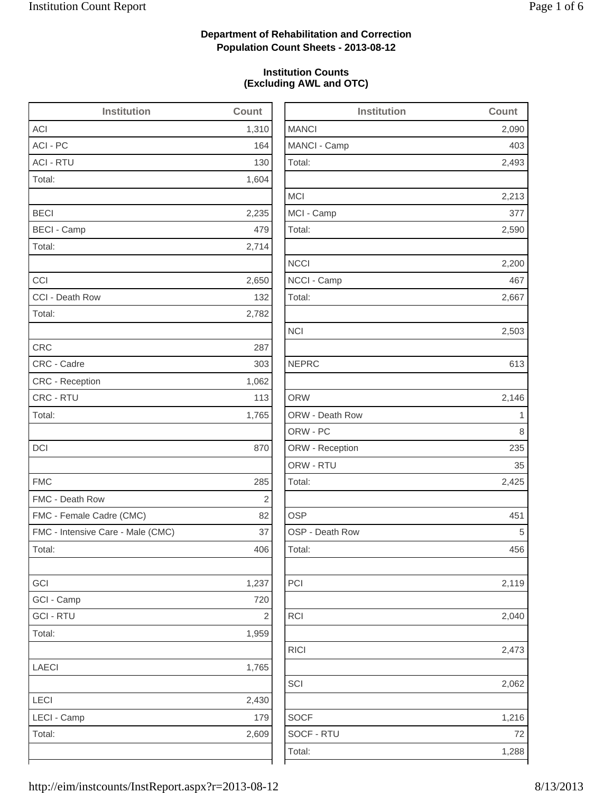2,493

2,213

2,590

2,200

2,503

2,425

2,119

2,040

RICI 2,473

2,062

1,216

### **Department of Rehabilitation and Correction Population Count Sheets - 2013-08-12**

### **Institution Counts (Excluding AWL and OTC)**

| <b>Institution</b>                | <b>Count</b> | <b>Institution</b> | Count |
|-----------------------------------|--------------|--------------------|-------|
| <b>ACI</b>                        | 1,310        | <b>MANCI</b>       | 2,090 |
| ACI - PC                          | 164          | MANCI - Camp       | 403   |
| <b>ACI - RTU</b>                  | 130          | Total:             | 2,493 |
| Total:                            | 1,604        |                    |       |
|                                   |              | <b>MCI</b>         | 2,213 |
| <b>BECI</b>                       | 2,235        | MCI - Camp         | 377   |
| <b>BECI - Camp</b>                | 479          | Total:             | 2,590 |
| Total:                            | 2,714        |                    |       |
|                                   |              | <b>NCCI</b>        | 2,200 |
| CCI                               | 2,650        | NCCI - Camp        | 467   |
| CCI - Death Row                   | 132          | Total:             | 2,667 |
| Total:                            | 2,782        |                    |       |
|                                   |              | <b>NCI</b>         | 2,503 |
| <b>CRC</b>                        | 287          |                    |       |
| CRC - Cadre                       | 303          | <b>NEPRC</b>       | 613   |
| CRC - Reception                   | 1,062        |                    |       |
| CRC - RTU                         | 113          | <b>ORW</b>         | 2,146 |
| Total:                            | 1,765        | ORW - Death Row    | 1     |
|                                   |              | ORW - PC           | 8     |
| <b>DCI</b>                        | 870          | ORW - Reception    | 235   |
|                                   |              | ORW - RTU          | 35    |
| <b>FMC</b>                        | 285          | Total:             | 2,425 |
| FMC - Death Row                   | $\sqrt{2}$   |                    |       |
| FMC - Female Cadre (CMC)          | 82           | <b>OSP</b>         | 451   |
| FMC - Intensive Care - Male (CMC) | 37           | OSP - Death Row    | 5     |
| Total:                            | 406          | Total:             | 456   |
| GCI                               | 1,237        | PCI                | 2,119 |
| GCI - Camp                        | 720          |                    |       |
| <b>GCI-RTU</b>                    | $\sqrt{2}$   | RCI                | 2,040 |
| Total:                            | 1,959        |                    |       |
|                                   |              | RICI               | 2,473 |
| <b>LAECI</b>                      | 1,765        |                    |       |
|                                   |              | SCI                | 2,062 |
| LECI                              | 2,430        |                    |       |
| LECI - Camp                       | 179          | <b>SOCF</b>        | 1,216 |
| Total:                            | 2,609        | SOCF - RTU         | 72    |
|                                   |              | Total:             | 1,288 |
|                                   |              |                    |       |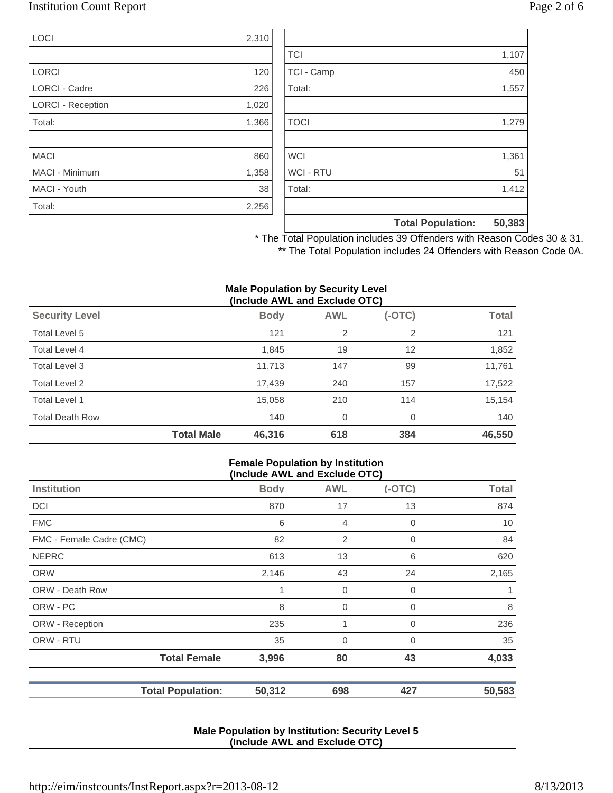### Institution Count Report Page 2 of 6

| <b>LOCI</b>              | 2,310 |
|--------------------------|-------|
|                          |       |
| <b>LORCI</b>             | 120   |
| <b>LORCI - Cadre</b>     | 226   |
| <b>LORCI - Reception</b> | 1,020 |
| Total:                   | 1,366 |
|                          |       |
| <b>MACI</b>              | 860   |
| MACI - Minimum           | 1,358 |
| MACI - Youth             | 38    |
| Total:                   | 2,256 |

|                  | <b>Total Population:</b> | 50,383 |
|------------------|--------------------------|--------|
|                  |                          |        |
| Total:           |                          | 1,412  |
| <b>WCI - RTU</b> |                          | 51     |
| <b>WCI</b>       |                          | 1,361  |
|                  |                          |        |
| <b>TOCI</b>      |                          | 1,279  |
|                  |                          |        |
| Total:           |                          | 1,557  |
| TCI - Camp       |                          | 450    |
| <b>TCI</b>       |                          | 1,107  |

\* The Total Population includes 39 Offenders with Reason Codes 30 & 31. \*\* The Total Population includes 24 Offenders with Reason Code 0A.

#### **Male Population by Security Level (Include AWL and Exclude OTC)**

|                        |                   | , <del>.</del> |                |          |              |
|------------------------|-------------------|----------------|----------------|----------|--------------|
| <b>Security Level</b>  |                   | <b>Body</b>    | <b>AWL</b>     | $(-OTC)$ | <b>Total</b> |
| Total Level 5          |                   | 121            | $\overline{2}$ | 2        | 121          |
| Total Level 4          |                   | 1,845          | 19             | 12       | 1,852        |
| Total Level 3          |                   | 11,713         | 147            | 99       | 11,761       |
| Total Level 2          |                   | 17,439         | 240            | 157      | 17,522       |
| Total Level 1          |                   | 15,058         | 210            | 114      | 15,154       |
| <b>Total Death Row</b> |                   | 140            | 0              | 0        | 140          |
|                        | <b>Total Male</b> | 46,316         | 618            | 384      | 46,550       |

#### **Female Population by Institution (Include AWL and Exclude OTC)**

|                          |             | $(110100C)$ and the column $(010)$ |          |              |
|--------------------------|-------------|------------------------------------|----------|--------------|
| <b>Institution</b>       | <b>Body</b> | <b>AWL</b>                         | $(-OTC)$ | <b>Total</b> |
| <b>DCI</b>               | 870         | 17                                 | 13       | 874          |
| <b>FMC</b>               | 6           | $\overline{4}$                     | 0        | 10           |
| FMC - Female Cadre (CMC) | 82          | 2                                  | 0        | 84           |
| <b>NEPRC</b>             | 613         | 13                                 | 6        | 620          |
| <b>ORW</b>               | 2,146       | 43                                 | 24       | 2,165        |
| <b>ORW - Death Row</b>   |             | $\overline{0}$                     | 0        |              |
| ORW - PC                 | 8           | 0                                  | 0        | 8            |
| ORW - Reception          | 235         | 1                                  | 0        | 236          |
| ORW - RTU                | 35          | 0                                  | 0        | 35           |
| <b>Total Female</b>      | 3,996       | 80                                 | 43       | 4,033        |
| <b>Total Population:</b> | 50,312      | 698                                | 427      | 50,583       |

#### **Male Population by Institution: Security Level 5 (Include AWL and Exclude OTC)**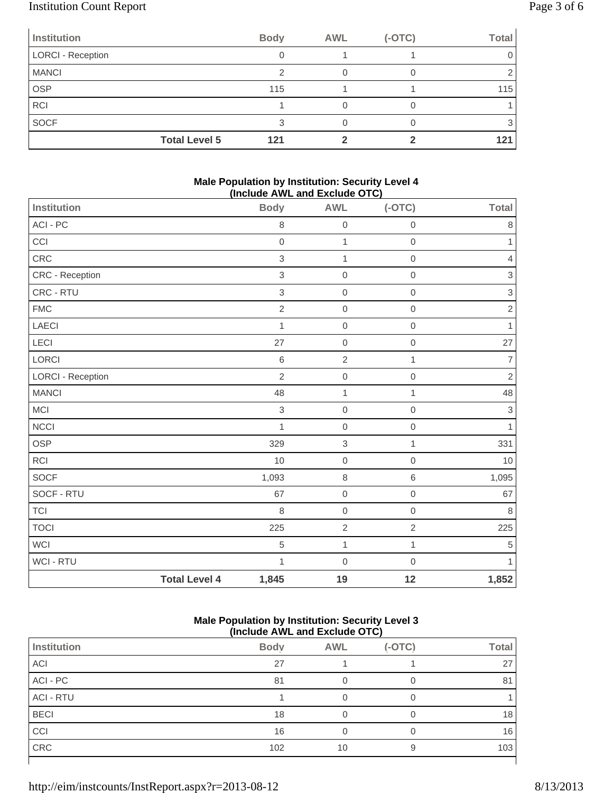# Institution Count Report Page 3 of 6

| Institution              | <b>Body</b>          | <b>AWL</b> | $(-OTC)$ | <b>Total</b> |
|--------------------------|----------------------|------------|----------|--------------|
| <b>LORCI - Reception</b> |                      |            |          |              |
| <b>MANCI</b>             |                      |            |          |              |
| <b>OSP</b>               |                      | 115        |          | 115          |
| <b>RCI</b>               |                      |            |          |              |
| SOCF                     |                      |            |          |              |
|                          | <b>Total Level 5</b> | 121        |          | 121          |

#### **Male Population by Institution: Security Level 4 (Include AWL and Exclude OTC)**

| Institution              |                      | <br><b>Body</b> | .<br><b>AWL</b>           | ,,,,,,,,,,,,<br>$(-OTC)$ | <b>Total</b>              |
|--------------------------|----------------------|-----------------|---------------------------|--------------------------|---------------------------|
| ACI - PC                 |                      | 8               | $\mbox{O}$                | $\mathbf 0$              | $\,8\,$                   |
| CCI                      |                      | $\mathbf 0$     | $\mathbf{1}$              | $\mathbf 0$              | $\mathbf{1}$              |
| CRC                      |                      | $\,$ 3 $\,$     | $\mathbf 1$               | $\,0\,$                  | $\overline{4}$            |
| CRC - Reception          |                      | 3               | $\mathbf 0$               | $\mathbf 0$              | $\,$ 3 $\,$               |
| CRC - RTU                |                      | $\,$ 3 $\,$     | $\,0\,$                   | $\mathbf 0$              | $\ensuremath{\mathsf{3}}$ |
| <b>FMC</b>               |                      | $\sqrt{2}$      | $\mathbf 0$               | $\mathbf 0$              | $\sqrt{2}$                |
| LAECI                    |                      | 1               | $\mathbf 0$               | $\mathbf 0$              | $\mathbf{1}$              |
| LECI                     |                      | 27              | $\mbox{O}$                | $\,0\,$                  | 27                        |
| LORCI                    |                      | 6               | $\overline{2}$            | 1                        | $\overline{7}$            |
| <b>LORCI - Reception</b> |                      | $\overline{2}$  | $\boldsymbol{0}$          | $\mathbf 0$              | $\overline{2}$            |
| <b>MANCI</b>             |                      | 48              | $\mathbf{1}$              | 1                        | 48                        |
| MCI                      |                      | 3               | $\mathbf 0$               | $\mathbf 0$              | $\,$ 3 $\,$               |
| NCCI                     |                      | $\mathbf{1}$    | $\mathbf 0$               | $\mathbf 0$              | $\mathbf{1}$              |
| <b>OSP</b>               |                      | 329             | $\ensuremath{\mathsf{3}}$ | 1                        | 331                       |
| RCI                      |                      | 10              | $\mathbf 0$               | $\mathbf 0$              | 10                        |
| SOCF                     |                      | 1,093           | $\,8\,$                   | $\,6\,$                  | 1,095                     |
| SOCF - RTU               |                      | 67              | $\mathbf 0$               | $\mathbf 0$              | 67                        |
| <b>TCI</b>               |                      | 8               | $\mathsf{O}\xspace$       | $\mathbf 0$              | $\,8\,$                   |
| <b>TOCI</b>              |                      | 225             | $\overline{2}$            | $\sqrt{2}$               | 225                       |
| <b>WCI</b>               |                      | 5               | $\mathbf 1$               | $\mathbf{1}$             | $\,$ 5 $\,$               |
| WCI - RTU                |                      | $\mathbf{1}$    | $\mbox{O}$                | $\mathbf 0$              | $\mathbf{1}$              |
|                          | <b>Total Level 4</b> | 1,845           | 19                        | 12                       | 1,852                     |

### **Male Population by Institution: Security Level 3 (Include AWL and Exclude OTC)**

|                  | (11191999111124119149191919191) |            |          |              |
|------------------|---------------------------------|------------|----------|--------------|
| Institution      | <b>Body</b>                     | <b>AWL</b> | $(-OTC)$ | <b>Total</b> |
| ACI              | 27                              |            |          | 27           |
| ACI - PC         | 81                              |            |          | 81           |
| <b>ACI - RTU</b> |                                 |            |          |              |
| <b>BECI</b>      | 18                              |            |          | 18           |
| CCI              | 16                              |            |          | 16           |
| CRC              | 102                             | 10         | 9        | 103          |
|                  |                                 |            |          |              |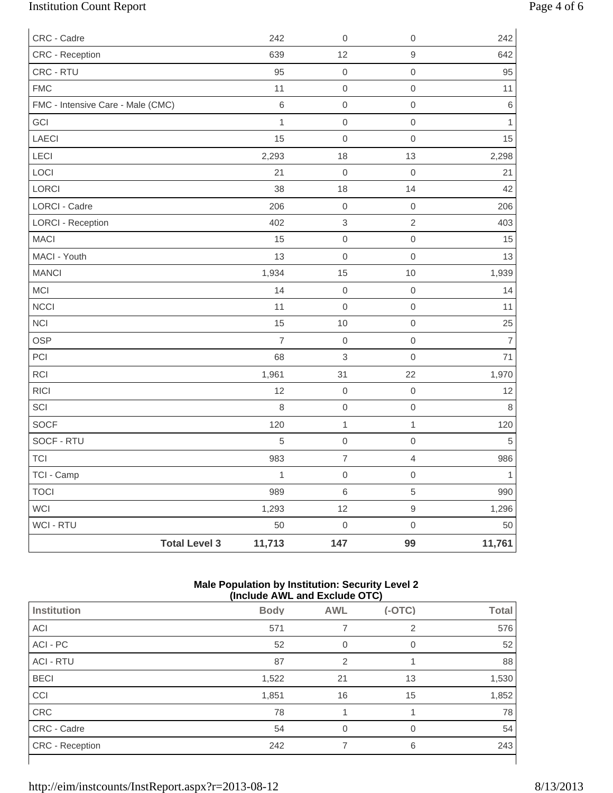# Institution Count Report Page 4 of 6

| CRC - Cadre                       | 242                            | $\boldsymbol{0}$          | $\mathbf 0$         | 242            |
|-----------------------------------|--------------------------------|---------------------------|---------------------|----------------|
| CRC - Reception                   | 639                            | 12                        | $\hbox{9}$          | 642            |
| CRC - RTU                         | 95                             | $\mathsf{O}\xspace$       | $\mathbf 0$         | 95             |
| <b>FMC</b>                        | 11                             | $\,0\,$                   | $\mathsf{O}\xspace$ | 11             |
| FMC - Intensive Care - Male (CMC) | $6\,$                          | $\mathsf{O}\xspace$       | $\mathsf{O}\xspace$ | $\,$ 6 $\,$    |
| GCI                               | $\mathbf 1$                    | $\mbox{O}$                | $\mathsf{O}\xspace$ | $\mathbf{1}$   |
| LAECI                             | 15                             | $\mathbf 0$               | $\mathbf 0$         | 15             |
| LECI                              | 2,293                          | 18                        | 13                  | 2,298          |
| LOCI                              | 21                             | $\mbox{O}$                | $\mathsf{O}\xspace$ | 21             |
| LORCI                             | 38                             | 18                        | 14                  | 42             |
| <b>LORCI - Cadre</b>              | 206                            | $\mathbf 0$               | $\boldsymbol{0}$    | 206            |
| <b>LORCI - Reception</b>          | 402                            | $\ensuremath{\mathsf{3}}$ | $\overline{2}$      | 403            |
| MACI                              | 15                             | $\mathsf{O}\xspace$       | $\mathsf{O}\xspace$ | 15             |
| MACI - Youth                      | 13                             | $\mathsf 0$               | $\mathsf{O}\xspace$ | 13             |
| <b>MANCI</b>                      | 1,934                          | 15                        | 10                  | 1,939          |
| <b>MCI</b>                        | 14                             | $\mathbf 0$               | $\boldsymbol{0}$    | 14             |
| <b>NCCI</b>                       | 11                             | $\mathbf 0$               | $\mathbf 0$         | 11             |
| <b>NCI</b>                        | 15                             | 10                        | $\mathsf{O}\xspace$ | 25             |
| OSP                               | $\overline{7}$                 | $\,0\,$                   | $\mathsf{O}\xspace$ | $\overline{7}$ |
| PCI                               | 68                             | $\mathfrak{S}$            | $\mathsf{O}\xspace$ | 71             |
| <b>RCI</b>                        | 1,961                          | 31                        | 22                  | 1,970          |
| <b>RICI</b>                       | 12                             | $\mathbf 0$               | $\mathbf 0$         | 12             |
| SCI                               | 8                              | $\mathsf{O}\xspace$       | $\mathsf{O}\xspace$ | $\,8\,$        |
| <b>SOCF</b>                       | 120                            | $\mathbf{1}$              | $\mathbf{1}$        | 120            |
| SOCF - RTU                        | 5                              | $\mathbf 0$               | $\boldsymbol{0}$    | 5              |
| <b>TCI</b>                        | 983                            | $\boldsymbol{7}$          | $\overline{4}$      | 986            |
| TCI - Camp                        | $\mathbf{1}$                   | $\boldsymbol{0}$          | $\mathbf 0$         | $\mathbf{1}$   |
| <b>TOCI</b>                       | 989                            | $\,$ 6 $\,$               | $\,$ 5 $\,$         | 990            |
| <b>WCI</b>                        | 1,293                          | 12                        | $\mathsf g$         | 1,296          |
| WCI - RTU                         | 50                             | $\mathbf 0$               | $\mathsf{O}\xspace$ | 50             |
|                                   | 11,713<br><b>Total Level 3</b> | 147                       | 99                  | 11,761         |

### **Male Population by Institution: Security Level 2 (Include AWL and Exclude OTC)**

| $($ $\overline{a}$ $\overline{b}$ $\overline{c}$ $\overline{c}$ $\overline{c}$ $\overline{c}$ $\overline{c}$ $\overline{c}$ $\overline{c}$ $\overline{c}$ $\overline{c}$ $\overline{c}$ |             |            |          |              |  |
|-----------------------------------------------------------------------------------------------------------------------------------------------------------------------------------------|-------------|------------|----------|--------------|--|
| Institution                                                                                                                                                                             | <b>Body</b> | <b>AWL</b> | $(-OTC)$ | <b>Total</b> |  |
| ACI                                                                                                                                                                                     | 571         |            | 2        | 576          |  |
| ACI - PC                                                                                                                                                                                | 52          | 0          | 0        | 52           |  |
| <b>ACI - RTU</b>                                                                                                                                                                        | 87          | 2          |          | 88           |  |
| <b>BECI</b>                                                                                                                                                                             | 1,522       | 21         | 13       | 1,530        |  |
| CCI                                                                                                                                                                                     | 1,851       | 16         | 15       | 1,852        |  |
| CRC                                                                                                                                                                                     | 78          |            |          | 78           |  |
| CRC - Cadre                                                                                                                                                                             | 54          | ∩          | $\Omega$ | 54           |  |
| <b>CRC</b> - Reception                                                                                                                                                                  | 242         |            | 6        | 243          |  |
|                                                                                                                                                                                         |             |            |          |              |  |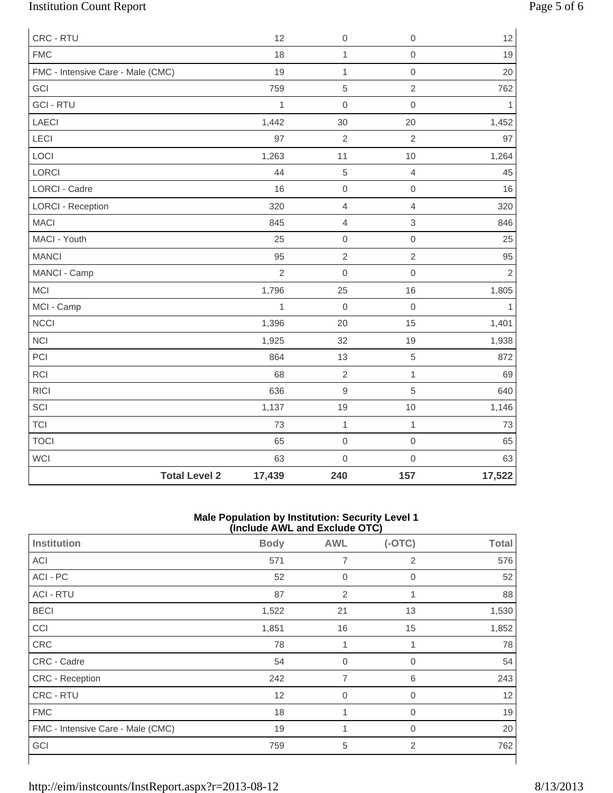# Institution Count Report Page 5 of 6

| CRC - RTU                         |                      | 12             | $\boldsymbol{0}$ | $\mathsf{O}\xspace$ | 12             |
|-----------------------------------|----------------------|----------------|------------------|---------------------|----------------|
| <b>FMC</b>                        |                      | 18             | $\mathbf{1}$     | $\mathsf{O}\xspace$ | 19             |
| FMC - Intensive Care - Male (CMC) |                      | 19             | $\mathbf{1}$     | $\mathsf{O}\xspace$ | 20             |
| GCI                               |                      | 759            | $\sqrt{5}$       | $\overline{2}$      | 762            |
| <b>GCI - RTU</b>                  |                      | $\mathbf{1}$   | $\mathbf 0$      | $\mathsf{O}\xspace$ | $\mathbf{1}$   |
| LAECI                             |                      | 1,442          | 30               | 20                  | 1,452          |
| LECI                              |                      | 97             | $\overline{2}$   | $\overline{2}$      | 97             |
| LOCI                              |                      | 1,263          | 11               | 10                  | 1,264          |
| LORCI                             |                      | 44             | $\,$ 5 $\,$      | $\overline{4}$      | 45             |
| <b>LORCI - Cadre</b>              |                      | 16             | $\mathbf 0$      | $\mathbf 0$         | 16             |
| <b>LORCI - Reception</b>          |                      | 320            | $\overline{4}$   | $\overline{4}$      | 320            |
| <b>MACI</b>                       |                      | 845            | 4                | 3                   | 846            |
| MACI - Youth                      |                      | 25             | $\boldsymbol{0}$ | $\mathbf 0$         | 25             |
| <b>MANCI</b>                      |                      | 95             | $\sqrt{2}$       | $\sqrt{2}$          | 95             |
| MANCI - Camp                      |                      | $\overline{2}$ | $\boldsymbol{0}$ | $\mathbf 0$         | $\overline{2}$ |
| MCI                               |                      | 1,796          | 25               | 16                  | 1,805          |
| MCI - Camp                        |                      | 1              | $\boldsymbol{0}$ | $\boldsymbol{0}$    | 1              |
| <b>NCCI</b>                       |                      | 1,396          | 20               | 15                  | 1,401          |
| <b>NCI</b>                        |                      | 1,925          | 32               | 19                  | 1,938          |
| PCI                               |                      | 864            | 13               | 5                   | 872            |
| <b>RCI</b>                        |                      | 68             | $\sqrt{2}$       | $\mathbf{1}$        | 69             |
| <b>RICI</b>                       |                      | 636            | $\mathsf g$      | 5                   | 640            |
| SCI                               |                      | 1,137          | 19               | 10                  | 1,146          |
| <b>TCI</b>                        |                      | 73             | $\mathbf{1}$     | $\mathbf{1}$        | 73             |
| <b>TOCI</b>                       |                      | 65             | $\mathbf 0$      | $\mathbf 0$         | 65             |
| <b>WCI</b>                        |                      | 63             | $\mathbf 0$      | $\mathsf{O}\xspace$ | 63             |
|                                   | <b>Total Level 2</b> | 17,439         | 240              | 157                 | 17,522         |

#### **Male Population by Institution: Security Level 1 (Include AWL and Exclude OTC)**

|                                   | ,           |                | -- - - - <i>-</i> |              |
|-----------------------------------|-------------|----------------|-------------------|--------------|
| Institution                       | <b>Body</b> | <b>AWL</b>     | $(-OTC)$          | <b>Total</b> |
| ACI                               | 571         | 7              | 2                 | 576          |
| ACI - PC                          | 52          | $\Omega$       | $\Omega$          | 52           |
| <b>ACI - RTU</b>                  | 87          | 2              | 1                 | 88           |
| <b>BECI</b>                       | 1,522       | 21             | 13                | 1,530        |
| <b>CCI</b>                        | 1,851       | 16             | 15                | 1,852        |
| CRC                               | 78          | 1              | 1                 | 78           |
| CRC - Cadre                       | 54          | $\mathbf 0$    | 0                 | 54           |
| CRC - Reception                   | 242         | $\overline{7}$ | 6                 | 243          |
| CRC - RTU                         | 12          | $\mathbf 0$    | $\Omega$          | 12           |
| <b>FMC</b>                        | 18          |                | $\mathbf 0$       | 19           |
| FMC - Intensive Care - Male (CMC) | 19          |                | 0                 | 20           |
| GCI                               | 759         | 5              | 2                 | 762          |
|                                   |             |                |                   |              |